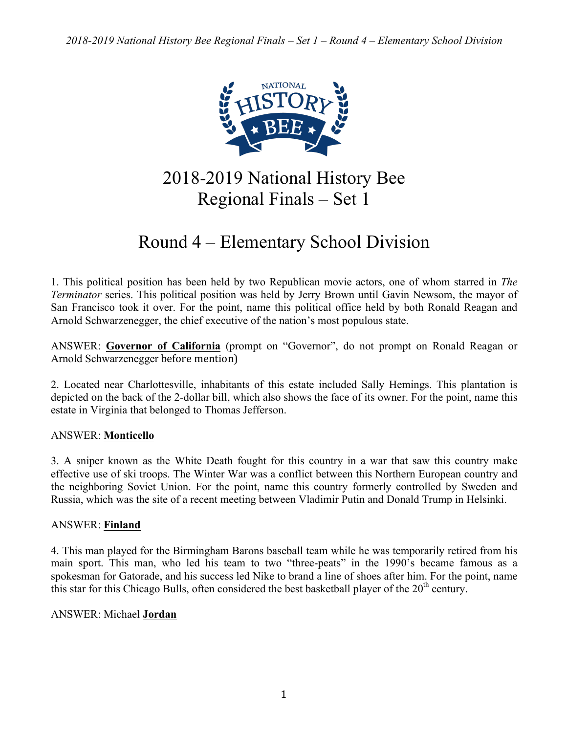

# 2018-2019 National History Bee Regional Finals – Set 1

# Round 4 – Elementary School Division

1. This political position has been held by two Republican movie actors, one of whom starred in *The Terminator* series. This political position was held by Jerry Brown until Gavin Newsom, the mayor of San Francisco took it over. For the point, name this political office held by both Ronald Reagan and Arnold Schwarzenegger, the chief executive of the nation's most populous state.

ANSWER: **Governor of California** (prompt on "Governor", do not prompt on Ronald Reagan or Arnold Schwarzenegger before mention)

2. Located near Charlottesville, inhabitants of this estate included Sally Hemings. This plantation is depicted on the back of the 2-dollar bill, which also shows the face of its owner. For the point, name this estate in Virginia that belonged to Thomas Jefferson.

# ANSWER: **Monticello**

3. A sniper known as the White Death fought for this country in a war that saw this country make effective use of ski troops. The Winter War was a conflict between this Northern European country and the neighboring Soviet Union. For the point, name this country formerly controlled by Sweden and Russia, which was the site of a recent meeting between Vladimir Putin and Donald Trump in Helsinki.

# ANSWER: **Finland**

4. This man played for the Birmingham Barons baseball team while he was temporarily retired from his main sport. This man, who led his team to two "three-peats" in the 1990's became famous as a spokesman for Gatorade, and his success led Nike to brand a line of shoes after him. For the point, name this star for this Chicago Bulls, often considered the best basketball player of the  $20<sup>th</sup>$  century.

# ANSWER: Michael **Jordan**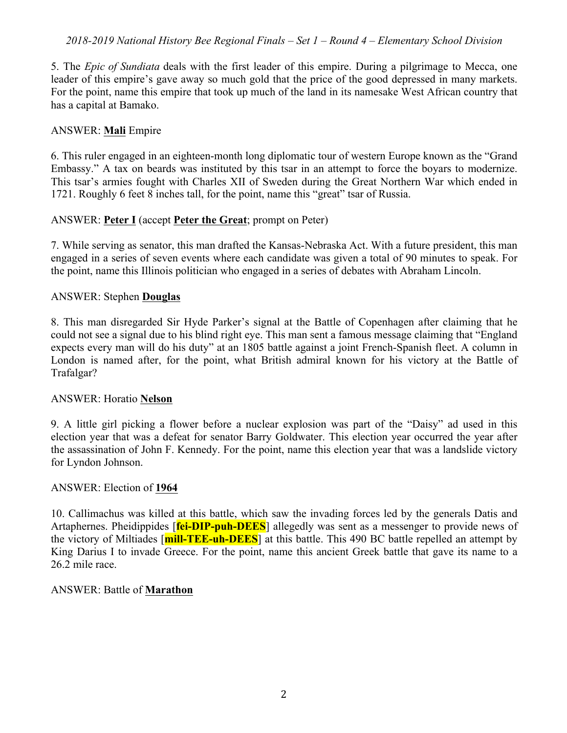5. The *Epic of Sundiata* deals with the first leader of this empire. During a pilgrimage to Mecca, one leader of this empire's gave away so much gold that the price of the good depressed in many markets. For the point, name this empire that took up much of the land in its namesake West African country that has a capital at Bamako.

## ANSWER: **Mali** Empire

6. This ruler engaged in an eighteen-month long diplomatic tour of western Europe known as the "Grand Embassy." A tax on beards was instituted by this tsar in an attempt to force the boyars to modernize. This tsar's armies fought with Charles XII of Sweden during the Great Northern War which ended in 1721. Roughly 6 feet 8 inches tall, for the point, name this "great" tsar of Russia.

## ANSWER: **Peter I** (accept **Peter the Great**; prompt on Peter)

7. While serving as senator, this man drafted the Kansas-Nebraska Act. With a future president, this man engaged in a series of seven events where each candidate was given a total of 90 minutes to speak. For the point, name this Illinois politician who engaged in a series of debates with Abraham Lincoln.

#### ANSWER: Stephen **Douglas**

8. This man disregarded Sir Hyde Parker's signal at the Battle of Copenhagen after claiming that he could not see a signal due to his blind right eye. This man sent a famous message claiming that "England expects every man will do his duty" at an 1805 battle against a joint French-Spanish fleet. A column in London is named after, for the point, what British admiral known for his victory at the Battle of Trafalgar?

#### ANSWER: Horatio **Nelson**

9. A little girl picking a flower before a nuclear explosion was part of the "Daisy" ad used in this election year that was a defeat for senator Barry Goldwater. This election year occurred the year after the assassination of John F. Kennedy. For the point, name this election year that was a landslide victory for Lyndon Johnson.

#### ANSWER: Election of **1964**

10. Callimachus was killed at this battle, which saw the invading forces led by the generals Datis and Artaphernes. Pheidippides [**fei-DIP-puh-DEES**] allegedly was sent as a messenger to provide news of the victory of Miltiades [**mill-TEE-uh-DEES**] at this battle. This 490 BC battle repelled an attempt by King Darius I to invade Greece. For the point, name this ancient Greek battle that gave its name to a 26.2 mile race.

#### ANSWER: Battle of **Marathon**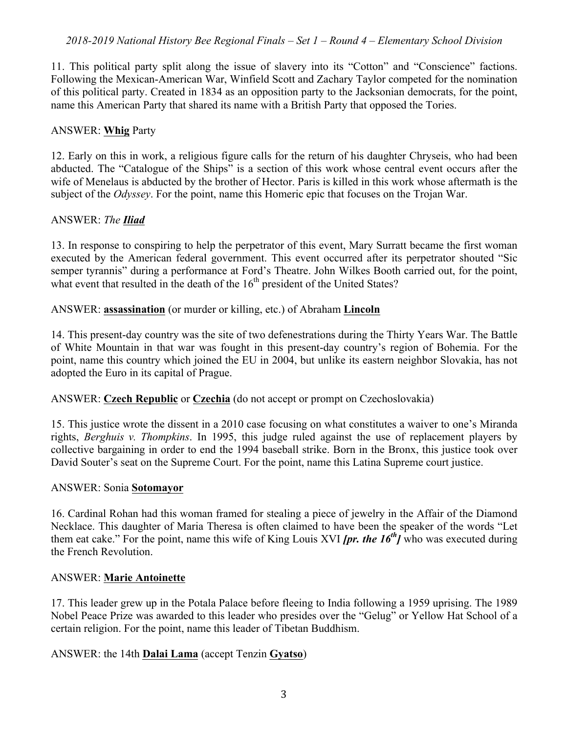11. This political party split along the issue of slavery into its "Cotton" and "Conscience" factions. Following the Mexican-American War, Winfield Scott and Zachary Taylor competed for the nomination of this political party. Created in 1834 as an opposition party to the Jacksonian democrats, for the point, name this American Party that shared its name with a British Party that opposed the Tories.

## ANSWER: **Whig** Party

12. Early on this in work, a religious figure calls for the return of his daughter Chryseis, who had been abducted. The "Catalogue of the Ships" is a section of this work whose central event occurs after the wife of Menelaus is abducted by the brother of Hector. Paris is killed in this work whose aftermath is the subject of the *Odyssey*. For the point, name this Homeric epic that focuses on the Trojan War.

# ANSWER: *The Iliad*

13. In response to conspiring to help the perpetrator of this event, Mary Surratt became the first woman executed by the American federal government. This event occurred after its perpetrator shouted "Sic semper tyrannis" during a performance at Ford's Theatre. John Wilkes Booth carried out, for the point, what event that resulted in the death of the  $16<sup>th</sup>$  president of the United States?

# ANSWER: **assassination** (or murder or killing, etc.) of Abraham **Lincoln**

14. This present-day country was the site of two defenestrations during the Thirty Years War. The Battle of White Mountain in that war was fought in this present-day country's region of Bohemia. For the point, name this country which joined the EU in 2004, but unlike its eastern neighbor Slovakia, has not adopted the Euro in its capital of Prague.

# ANSWER: **Czech Republic** or **Czechia** (do not accept or prompt on Czechoslovakia)

15. This justice wrote the dissent in a 2010 case focusing on what constitutes a waiver to one's Miranda rights, *Berghuis v. Thompkins*. In 1995, this judge ruled against the use of replacement players by collective bargaining in order to end the 1994 baseball strike. Born in the Bronx, this justice took over David Souter's seat on the Supreme Court. For the point, name this Latina Supreme court justice.

#### ANSWER: Sonia **Sotomayor**

16. Cardinal Rohan had this woman framed for stealing a piece of jewelry in the Affair of the Diamond Necklace. This daughter of Maria Theresa is often claimed to have been the speaker of the words "Let them eat cake." For the point, name this wife of King Louis XVI *[pr. the 16th]* who was executed during the French Revolution.

#### ANSWER: **Marie Antoinette**

17. This leader grew up in the Potala Palace before fleeing to India following a 1959 uprising. The 1989 Nobel Peace Prize was awarded to this leader who presides over the "Gelug" or Yellow Hat School of a certain religion. For the point, name this leader of Tibetan Buddhism.

# ANSWER: the 14th **Dalai Lama** (accept Tenzin **Gyatso**)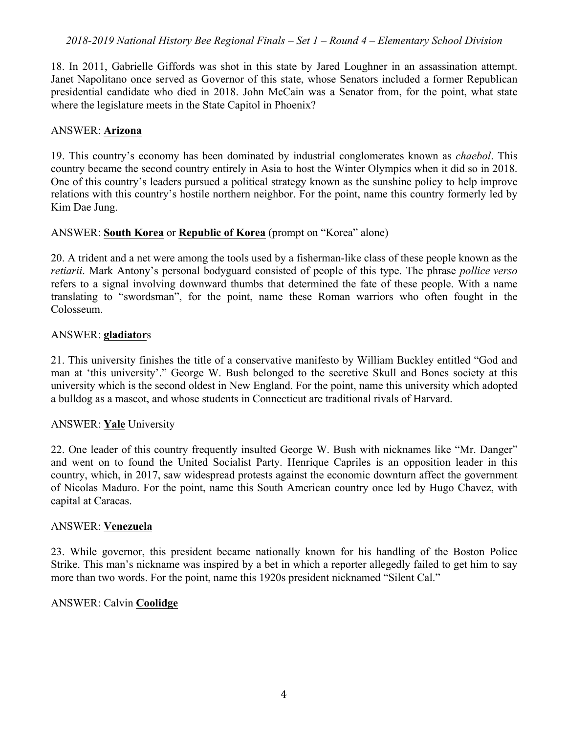18. In 2011, Gabrielle Giffords was shot in this state by Jared Loughner in an assassination attempt. Janet Napolitano once served as Governor of this state, whose Senators included a former Republican presidential candidate who died in 2018. John McCain was a Senator from, for the point, what state where the legislature meets in the State Capitol in Phoenix?

### ANSWER: **Arizona**

19. This country's economy has been dominated by industrial conglomerates known as *chaebol*. This country became the second country entirely in Asia to host the Winter Olympics when it did so in 2018. One of this country's leaders pursued a political strategy known as the sunshine policy to help improve relations with this country's hostile northern neighbor. For the point, name this country formerly led by Kim Dae Jung.

## ANSWER: **South Korea** or **Republic of Korea** (prompt on "Korea" alone)

20. A trident and a net were among the tools used by a fisherman-like class of these people known as the *retiarii*. Mark Antony's personal bodyguard consisted of people of this type. The phrase *pollice verso* refers to a signal involving downward thumbs that determined the fate of these people. With a name translating to "swordsman", for the point, name these Roman warriors who often fought in the Colosseum.

#### ANSWER: **gladiator**s

21. This university finishes the title of a conservative manifesto by William Buckley entitled "God and man at 'this university'." George W. Bush belonged to the secretive Skull and Bones society at this university which is the second oldest in New England. For the point, name this university which adopted a bulldog as a mascot, and whose students in Connecticut are traditional rivals of Harvard.

#### ANSWER: **Yale** University

22. One leader of this country frequently insulted George W. Bush with nicknames like "Mr. Danger" and went on to found the United Socialist Party. Henrique Capriles is an opposition leader in this country, which, in 2017, saw widespread protests against the economic downturn affect the government of Nicolas Maduro. For the point, name this South American country once led by Hugo Chavez, with capital at Caracas.

#### ANSWER: **Venezuela**

23. While governor, this president became nationally known for his handling of the Boston Police Strike. This man's nickname was inspired by a bet in which a reporter allegedly failed to get him to say more than two words. For the point, name this 1920s president nicknamed "Silent Cal."

#### ANSWER: Calvin **Coolidge**